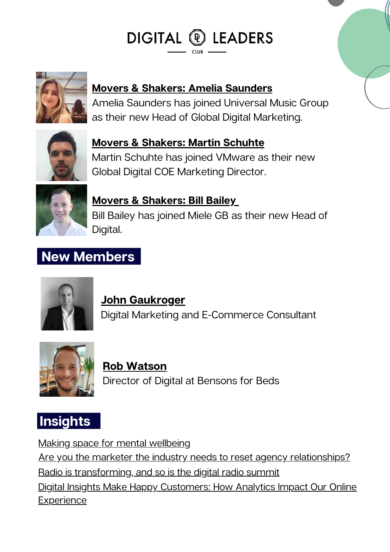# DIGITAL <sup>®</sup> LEADERS



#### **Movers & Shakers: Amelia [Saunders](https://www.linkedin.com/in/ameliasaunders1/)**

Amelia Saunders has joined Universal Music Group as their new Head of Global Digital Marketing.



## **Movers & [Shakers:](https://www.linkedin.com/in/martinschuhte/) Martin Schuhte**

Martin Schuhte has joined VMware as their new Global Digital COE Marketing Director.



#### **Movers & [Shakers:](https://www.linkedin.com/in/billbaileydigital/?originalSubdomain=uk) Bill Bailey**

Bill Bailey has joined Miele GB as their new Head of Digital.

### **New Members**



### **John [Gaukroger](https://www.linkedin.com/in/georgina-drew-137b7014/?originalSubdomain=uk)**

Digital Marketing and E-Commerce Consultant



#### Director of Digital at Bensons for Beds **Rob [Watson](https://www.linkedin.com/in/georgina-drew-137b7014/?originalSubdomain=uk)**



Making space for mental [wellbeing](https://www.linkedin.com/news/story/making-space-for-mental-wellbeing-4685129/) Are you the marketer the industry needs to reset agency [relationships?](https://www.marketingweek.com/robin-bonn-reset-agency-relationships/) Radio is [transforming,](https://tech.ebu.ch/news/2022/03/radio-is-transforming-and-so-is-the-digital-radio-summit) and so is the digital radio summit Digital Insights Make Happy [Customers:](https://www.forbes.com/sites/garydrenik/2022/03/15/digital-insights-make-happy-customers-how-analytics-impact-our-online-experience/?sh=508b53a14f3d) How Analytics Impact Our Online **Experience**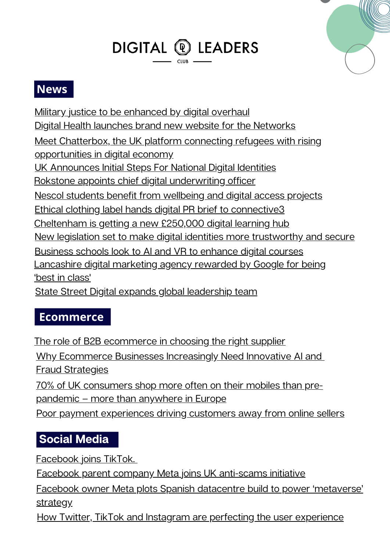# DIGITAL <sup>®</sup> LEADERS



#### **News**

Military justice to be [enhanced](https://www.gov.uk/government/news/military-justice-to-be-enhanced-by-digital-overhaul) by digital overhaul Digital Health launches brand new website for the [Networks](https://www.digitalhealth.net/2022/03/digital-health-website-networks/) Meet Chatterbox, the UK platform connecting refugees with rising [opportunities](https://tech.eu/2022/03/15/meet-chatterbox-the-language-learning-platform-connecting-refugees-with-rising-opportunities-in-digital-economy) in digital economy UK [Announces](https://www.forbes.com/sites/emmawoollacott/2022/03/14/uk-announces-initial-steps-for-national-digital-identities/?sh=1914761f22e6) Initial Steps For National Digital Identities Rokstone appoints chief digital [underwriting](https://www.insurancebusinessmag.com/uk/news/breaking-news/rokstone-appoints-chief-digital-underwriting-officer-398512.aspx) officer Nescol students benefit from [wellbeing](https://www.northern-scot.co.uk/news/nescol-students-benefit-from-wellbeing-and-digital-access-in-268244/) and digital access projects Ethical clothing label hands digital PR brief to [connective3](https://www.prolificnorth.co.uk/news/agency-news/2022/03/ethical-clothing-label-hands-digital-pr-brief-connective3) [Cheltenham](https://www.soglos.com/culture/51312/Cheltenham-is-getting-a-new-250000-digital-learning-hub) is getting a new £250,000 digital learning hub New legislation set to make digital identities more [trustworthy](https://www.gov.uk/government/news/new-legislation-set-to-make-digital-identities-more-trustworthy-and-secure) and secure [Business](https://www.ft.com/content/25aa54ff-21ec-4639-b0ea-37d24e50560e) schools look to AI and VR to enhance digital courses [Lancashire](https://www.lancashiretelegraph.co.uk/news/19991793.lancashire-digital-marketing-agency-rewarded-google-best-class/) digital marketing agency rewarded by Google for being 'best in class' State Street Digital expands global [leadership](https://ibsintelligence.com/ibsi-news/state-street-digital-expands-global-leadership-team/) team

#### **Ecommerce**

The role of B2B [ecommerce](https://smallbusiness.co.uk/the-role-of-b2b-ecommerce-in-choosing-the-right-supplier-2559965/) in choosing the right supplier Why [Ecommerce](https://ffnews.com/newsarticle/why-ecommerce-businesses-increasingly-need-innovative-ai-and-fraud-strategies/) Businesses Increasingly Need Innovative AI an[d](https://ffnews.com/newsarticle/why-ecommerce-businesses-increasingly-need-innovative-ai-and-fraud-strategies/) **Fraud [Strategies](https://ffnews.com/newsarticle/why-ecommerce-businesses-increasingly-need-innovative-ai-and-fraud-strategies/)** 70% of UK [consumers](https://internetretailing.net/mobile-theme/70-of-uk-consumers-shop-more-often-on-their-mobiles-than-pre-pandemic--more-than-anywhere-in-europe-24544) shop more often on their mobiles than prepandemic – more than anywhere in Europe Poor payment [experiences](https://internetretailing.net/payment/poor-payment-experiences-driving-customers-away-from-online-sellers-24541) driving customers away from online sellers

#### **Social Media**

[Facebook](https://mashable.com/article/facebook-tiktok-account) joins TikTok[.](https://mashable.com/article/facebook-tiktok-account)

Facebook parent company Meta joins UK [anti-scams](https://www.standard.co.uk/news/uk/meta-facebook-hsbc-instagram-google-b988333.html) initiative

Facebook owner Meta plots Spanish datacentre build to power ['metaverse'](https://www.computerweekly.com/news/252514670/Facebook-owner-Meta-plots-Spanish-datacentre-build-to-power-metaverse-strategy) strategy

How Twitter, TikTok and Instagram are perfecting the user [experience](https://www.thedrum.com/news/2022/03/16/how-twitter-tiktok-and-instagram-are-perfecting-the-user-experience)